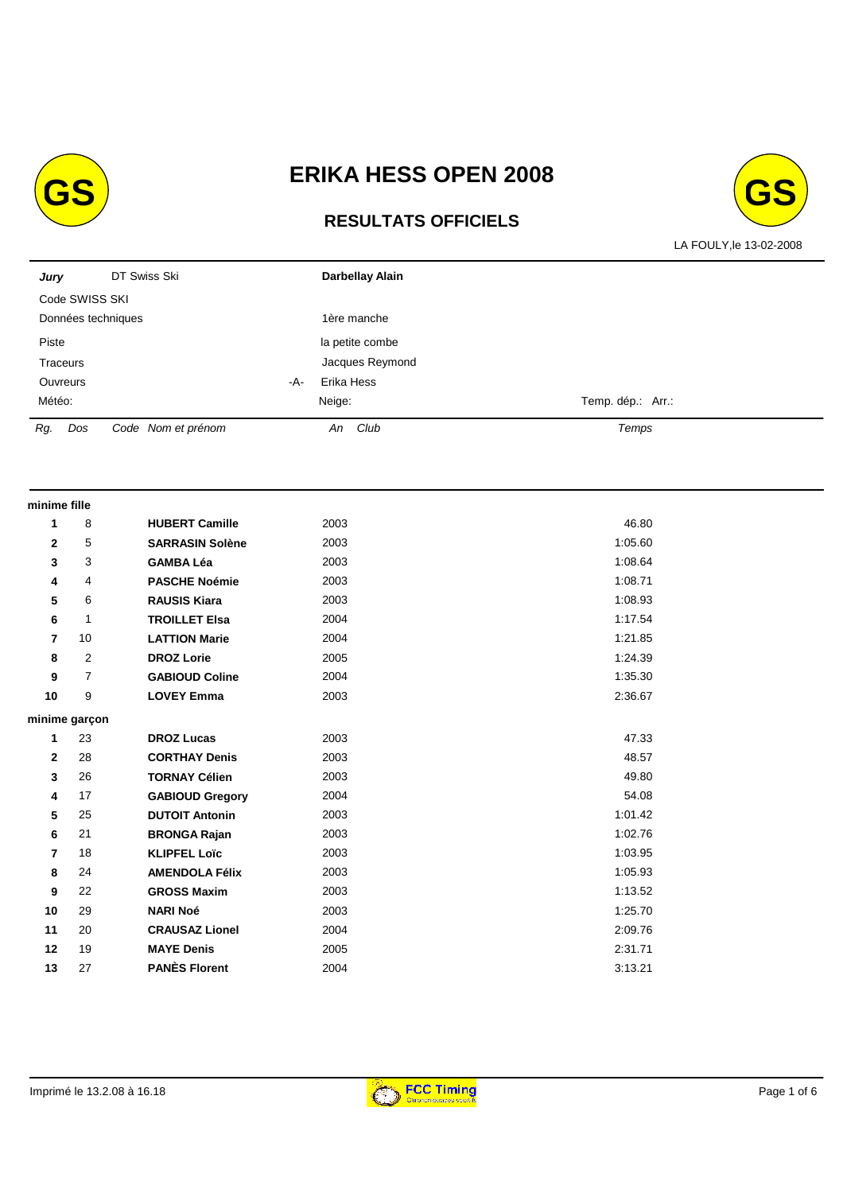

# **RESULTATS OFFICIELS**



| Jury                              |                         | DT Swiss Ski           |     | Darbellay Alain |                   |  |  |  |  |
|-----------------------------------|-------------------------|------------------------|-----|-----------------|-------------------|--|--|--|--|
|                                   | Code SWISS SKI          |                        |     |                 |                   |  |  |  |  |
| Données techniques<br>1ère manche |                         |                        |     |                 |                   |  |  |  |  |
| Piste                             |                         |                        |     | la petite combe |                   |  |  |  |  |
|                                   | Traceurs                |                        |     | Jacques Reymond |                   |  |  |  |  |
|                                   | Ouvreurs                |                        | -A- | Erika Hess      |                   |  |  |  |  |
| Météo:                            |                         |                        |     | Neige:          | Temp. dép.: Arr.: |  |  |  |  |
| Rg.                               | $\mathit{D}\mathit{os}$ | Code Nom et prénom     |     | An Club         | Temps             |  |  |  |  |
| minime fille                      |                         |                        |     |                 |                   |  |  |  |  |
| 1                                 | 8                       | <b>HUBERT Camille</b>  |     | 2003            | 46.80             |  |  |  |  |
| 2                                 | 5                       | <b>SARRASIN Solène</b> |     | 2003            | 1:05.60           |  |  |  |  |
| 3                                 | 3                       | <b>GAMBA Léa</b>       |     | 2003            | 1:08.64           |  |  |  |  |
| 4                                 | 4                       | <b>PASCHE Noémie</b>   |     | 2003            | 1:08.71           |  |  |  |  |
| 5                                 | 6                       | <b>RAUSIS Kiara</b>    |     | 2003            | 1:08.93           |  |  |  |  |
| 6                                 | $\mathbf{1}$            | <b>TROILLET Elsa</b>   |     | 2004            | 1:17.54           |  |  |  |  |
| 7                                 | 10                      | <b>LATTION Marie</b>   |     | 2004            | 1:21.85           |  |  |  |  |
| 8                                 | 2                       | <b>DROZ Lorie</b>      |     | 2005            | 1:24.39           |  |  |  |  |
| 9                                 | $\overline{7}$          | <b>GABIOUD Coline</b>  |     | 2004            | 1:35.30           |  |  |  |  |
| 10                                | 9                       | <b>LOVEY Emma</b>      |     | 2003            | 2:36.67           |  |  |  |  |
|                                   | minime garçon           |                        |     |                 |                   |  |  |  |  |
| 1                                 | 23                      | <b>DROZ Lucas</b>      |     | 2003            | 47.33             |  |  |  |  |
| $\mathbf{2}$                      | 28                      | <b>CORTHAY Denis</b>   |     | 2003            | 48.57             |  |  |  |  |
| 3                                 | 26                      | <b>TORNAY Célien</b>   |     | 2003            | 49.80             |  |  |  |  |
| 4                                 | 17                      | <b>GABIOUD Gregory</b> |     | 2004            | 54.08             |  |  |  |  |
| 5                                 | 25                      | <b>DUTOIT Antonin</b>  |     | 2003            | 1:01.42           |  |  |  |  |
| 6                                 | 21                      | <b>BRONGA Rajan</b>    |     | 2003            | 1:02.76           |  |  |  |  |
| 7                                 | 18                      | <b>KLIPFEL Loïc</b>    |     | 2003            | 1:03.95           |  |  |  |  |
| 8                                 | 24                      | <b>AMENDOLA Félix</b>  |     | 2003            | 1:05.93           |  |  |  |  |
| 9                                 | 22                      | <b>GROSS Maxim</b>     |     | 2003            | 1:13.52           |  |  |  |  |
| 10                                | 29                      | <b>NARI Noé</b>        |     | 2003            | 1:25.70           |  |  |  |  |
| 11                                | 20                      | <b>CRAUSAZ Lionel</b>  |     | 2004            | 2:09.76           |  |  |  |  |
| 12                                | 19                      | <b>MAYE Denis</b>      |     | 2005            | 2:31.71           |  |  |  |  |
| 13                                | 27                      | <b>PANÈS Florent</b>   |     | 2004            | 3:13.21           |  |  |  |  |

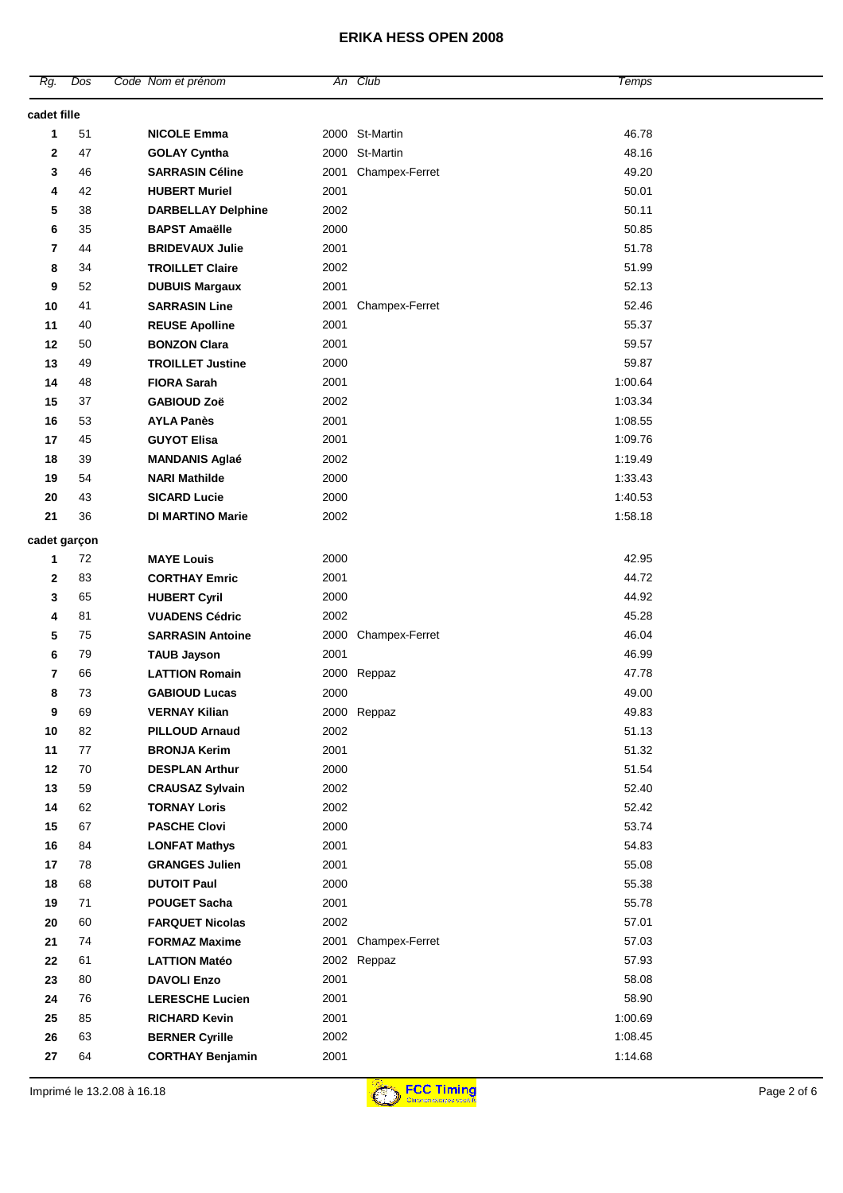| cadet fille<br>51<br>2000 St-Martin<br>46.78<br><b>NICOLE Emma</b><br>1<br>2000 St-Martin<br>48.16<br>2<br>47<br><b>GOLAY Cyntha</b><br>49.20<br>46<br><b>SARRASIN Céline</b><br>2001<br>Champex-Ferret<br>3<br>42<br>2001<br>50.01<br><b>HUBERT Muriel</b><br>4<br>2002<br>50.11<br>38<br>5<br><b>DARBELLAY Delphine</b><br>50.85<br>35<br><b>BAPST Amaëlle</b><br>2000<br>6<br>44<br>2001<br>51.78<br>7<br><b>BRIDEVAUX Julie</b><br>2002<br>51.99<br>8<br>34<br><b>TROILLET Claire</b><br>2001<br>52.13<br>9<br>52<br><b>DUBUIS Margaux</b><br>41<br><b>SARRASIN Line</b><br>52.46<br>10<br>2001<br>Champex-Ferret<br>40<br>2001<br>55.37<br>11<br><b>REUSE Apolline</b><br>12<br>50<br><b>BONZON Clara</b><br>2001<br>59.57<br>49<br>2000<br>59.87<br>13<br><b>TROILLET Justine</b><br>14<br>48<br><b>FIORA Sarah</b><br>2001<br>1:00.64<br>2002<br>1:03.34<br>15<br>37<br><b>GABIOUD Zoë</b><br>16<br>53<br><b>AYLA Panès</b><br>2001<br>1:08.55<br>45<br>2001<br>1:09.76<br>17<br><b>GUYOT Elisa</b><br>39<br>1:19.49<br>18<br><b>MANDANIS Aglaé</b><br>2002<br>54<br>1:33.43<br>19<br>2000<br><b>NARI Mathilde</b><br>43<br><b>SICARD Lucie</b><br>2000<br>1:40.53<br>20<br>21<br>36<br><b>DI MARTINO Marie</b><br>2002<br>1:58.18<br>cadet garçon<br>72<br><b>MAYE Louis</b><br>2000<br>42.95<br>1<br>83<br>44.72<br>2<br><b>CORTHAY Emric</b><br>2001<br>65<br>2000<br>44.92<br>3<br><b>HUBERT Cyril</b><br>81<br><b>VUADENS Cédric</b><br>2002<br>45.28<br>4<br><b>SARRASIN Antoine</b><br>Champex-Ferret<br>46.04<br>5<br>75<br>2000<br>2001<br>46.99<br>6<br>79<br><b>TAUB Jayson</b><br>66<br><b>LATTION Romain</b><br>47.78<br>7<br>2000 Reppaz<br>8<br><b>GABIOUD Lucas</b><br>73<br>2000<br>49.00<br>9<br><b>VERNAY Kilian</b><br>69<br>2000 Reppaz<br>49.83<br>51.13<br>10<br>82<br><b>PILLOUD Arnaud</b><br>2002<br>11<br>77<br>2001<br>51.32<br><b>BRONJA Kerim</b><br>12<br>70<br>2000<br>51.54<br><b>DESPLAN Arthur</b><br>13<br>59<br>2002<br>52.40<br><b>CRAUSAZ Sylvain</b><br>14<br>62<br>52.42<br><b>TORNAY Loris</b><br>2002<br>15<br>67<br><b>PASCHE Clovi</b><br>2000<br>53.74<br>$16\,$<br>84<br>2001<br>54.83<br><b>LONFAT Mathys</b><br>17<br>78<br><b>GRANGES Julien</b><br>2001<br>55.08<br>18<br>68<br><b>DUTOIT Paul</b><br>55.38<br>2000<br>71<br><b>POUGET Sacha</b><br>2001<br>55.78<br>19<br>2002<br>57.01<br>60<br>20<br><b>FARQUET Nicolas</b><br>57.03<br>74<br>2001 Champex-Ferret<br>21<br><b>FORMAZ Maxime</b><br>61<br>2002 Reppaz<br>57.93<br>22<br><b>LATTION Matéo</b><br>80<br>2001<br>58.08<br>23<br><b>DAVOLI Enzo</b><br>2001<br>58.90<br>76<br>24<br><b>LERESCHE Lucien</b><br>2001<br>1:00.69<br>85<br><b>RICHARD Kevin</b><br>25<br>63<br>2002<br>1:08.45<br>26<br><b>BERNER Cyrille</b><br>2001<br>1:14.68<br>27<br>64<br><b>CORTHAY Benjamin</b> | Rg. | Dos | Code Nom et prénom | An Club | Temps |  |
|-------------------------------------------------------------------------------------------------------------------------------------------------------------------------------------------------------------------------------------------------------------------------------------------------------------------------------------------------------------------------------------------------------------------------------------------------------------------------------------------------------------------------------------------------------------------------------------------------------------------------------------------------------------------------------------------------------------------------------------------------------------------------------------------------------------------------------------------------------------------------------------------------------------------------------------------------------------------------------------------------------------------------------------------------------------------------------------------------------------------------------------------------------------------------------------------------------------------------------------------------------------------------------------------------------------------------------------------------------------------------------------------------------------------------------------------------------------------------------------------------------------------------------------------------------------------------------------------------------------------------------------------------------------------------------------------------------------------------------------------------------------------------------------------------------------------------------------------------------------------------------------------------------------------------------------------------------------------------------------------------------------------------------------------------------------------------------------------------------------------------------------------------------------------------------------------------------------------------------------------------------------------------------------------------------------------------------------------------------------------------------------------------------------------------------------------------------------------------------------------------------------------------------------------------------------------------------------------------------------------------------------------------------------------------------------------------------------------------------------------------------------------------------------------------------------|-----|-----|--------------------|---------|-------|--|
|                                                                                                                                                                                                                                                                                                                                                                                                                                                                                                                                                                                                                                                                                                                                                                                                                                                                                                                                                                                                                                                                                                                                                                                                                                                                                                                                                                                                                                                                                                                                                                                                                                                                                                                                                                                                                                                                                                                                                                                                                                                                                                                                                                                                                                                                                                                                                                                                                                                                                                                                                                                                                                                                                                                                                                                                             |     |     |                    |         |       |  |
|                                                                                                                                                                                                                                                                                                                                                                                                                                                                                                                                                                                                                                                                                                                                                                                                                                                                                                                                                                                                                                                                                                                                                                                                                                                                                                                                                                                                                                                                                                                                                                                                                                                                                                                                                                                                                                                                                                                                                                                                                                                                                                                                                                                                                                                                                                                                                                                                                                                                                                                                                                                                                                                                                                                                                                                                             |     |     |                    |         |       |  |
|                                                                                                                                                                                                                                                                                                                                                                                                                                                                                                                                                                                                                                                                                                                                                                                                                                                                                                                                                                                                                                                                                                                                                                                                                                                                                                                                                                                                                                                                                                                                                                                                                                                                                                                                                                                                                                                                                                                                                                                                                                                                                                                                                                                                                                                                                                                                                                                                                                                                                                                                                                                                                                                                                                                                                                                                             |     |     |                    |         |       |  |
|                                                                                                                                                                                                                                                                                                                                                                                                                                                                                                                                                                                                                                                                                                                                                                                                                                                                                                                                                                                                                                                                                                                                                                                                                                                                                                                                                                                                                                                                                                                                                                                                                                                                                                                                                                                                                                                                                                                                                                                                                                                                                                                                                                                                                                                                                                                                                                                                                                                                                                                                                                                                                                                                                                                                                                                                             |     |     |                    |         |       |  |
|                                                                                                                                                                                                                                                                                                                                                                                                                                                                                                                                                                                                                                                                                                                                                                                                                                                                                                                                                                                                                                                                                                                                                                                                                                                                                                                                                                                                                                                                                                                                                                                                                                                                                                                                                                                                                                                                                                                                                                                                                                                                                                                                                                                                                                                                                                                                                                                                                                                                                                                                                                                                                                                                                                                                                                                                             |     |     |                    |         |       |  |
|                                                                                                                                                                                                                                                                                                                                                                                                                                                                                                                                                                                                                                                                                                                                                                                                                                                                                                                                                                                                                                                                                                                                                                                                                                                                                                                                                                                                                                                                                                                                                                                                                                                                                                                                                                                                                                                                                                                                                                                                                                                                                                                                                                                                                                                                                                                                                                                                                                                                                                                                                                                                                                                                                                                                                                                                             |     |     |                    |         |       |  |
|                                                                                                                                                                                                                                                                                                                                                                                                                                                                                                                                                                                                                                                                                                                                                                                                                                                                                                                                                                                                                                                                                                                                                                                                                                                                                                                                                                                                                                                                                                                                                                                                                                                                                                                                                                                                                                                                                                                                                                                                                                                                                                                                                                                                                                                                                                                                                                                                                                                                                                                                                                                                                                                                                                                                                                                                             |     |     |                    |         |       |  |
|                                                                                                                                                                                                                                                                                                                                                                                                                                                                                                                                                                                                                                                                                                                                                                                                                                                                                                                                                                                                                                                                                                                                                                                                                                                                                                                                                                                                                                                                                                                                                                                                                                                                                                                                                                                                                                                                                                                                                                                                                                                                                                                                                                                                                                                                                                                                                                                                                                                                                                                                                                                                                                                                                                                                                                                                             |     |     |                    |         |       |  |
|                                                                                                                                                                                                                                                                                                                                                                                                                                                                                                                                                                                                                                                                                                                                                                                                                                                                                                                                                                                                                                                                                                                                                                                                                                                                                                                                                                                                                                                                                                                                                                                                                                                                                                                                                                                                                                                                                                                                                                                                                                                                                                                                                                                                                                                                                                                                                                                                                                                                                                                                                                                                                                                                                                                                                                                                             |     |     |                    |         |       |  |
|                                                                                                                                                                                                                                                                                                                                                                                                                                                                                                                                                                                                                                                                                                                                                                                                                                                                                                                                                                                                                                                                                                                                                                                                                                                                                                                                                                                                                                                                                                                                                                                                                                                                                                                                                                                                                                                                                                                                                                                                                                                                                                                                                                                                                                                                                                                                                                                                                                                                                                                                                                                                                                                                                                                                                                                                             |     |     |                    |         |       |  |
|                                                                                                                                                                                                                                                                                                                                                                                                                                                                                                                                                                                                                                                                                                                                                                                                                                                                                                                                                                                                                                                                                                                                                                                                                                                                                                                                                                                                                                                                                                                                                                                                                                                                                                                                                                                                                                                                                                                                                                                                                                                                                                                                                                                                                                                                                                                                                                                                                                                                                                                                                                                                                                                                                                                                                                                                             |     |     |                    |         |       |  |
|                                                                                                                                                                                                                                                                                                                                                                                                                                                                                                                                                                                                                                                                                                                                                                                                                                                                                                                                                                                                                                                                                                                                                                                                                                                                                                                                                                                                                                                                                                                                                                                                                                                                                                                                                                                                                                                                                                                                                                                                                                                                                                                                                                                                                                                                                                                                                                                                                                                                                                                                                                                                                                                                                                                                                                                                             |     |     |                    |         |       |  |
|                                                                                                                                                                                                                                                                                                                                                                                                                                                                                                                                                                                                                                                                                                                                                                                                                                                                                                                                                                                                                                                                                                                                                                                                                                                                                                                                                                                                                                                                                                                                                                                                                                                                                                                                                                                                                                                                                                                                                                                                                                                                                                                                                                                                                                                                                                                                                                                                                                                                                                                                                                                                                                                                                                                                                                                                             |     |     |                    |         |       |  |
|                                                                                                                                                                                                                                                                                                                                                                                                                                                                                                                                                                                                                                                                                                                                                                                                                                                                                                                                                                                                                                                                                                                                                                                                                                                                                                                                                                                                                                                                                                                                                                                                                                                                                                                                                                                                                                                                                                                                                                                                                                                                                                                                                                                                                                                                                                                                                                                                                                                                                                                                                                                                                                                                                                                                                                                                             |     |     |                    |         |       |  |
|                                                                                                                                                                                                                                                                                                                                                                                                                                                                                                                                                                                                                                                                                                                                                                                                                                                                                                                                                                                                                                                                                                                                                                                                                                                                                                                                                                                                                                                                                                                                                                                                                                                                                                                                                                                                                                                                                                                                                                                                                                                                                                                                                                                                                                                                                                                                                                                                                                                                                                                                                                                                                                                                                                                                                                                                             |     |     |                    |         |       |  |
|                                                                                                                                                                                                                                                                                                                                                                                                                                                                                                                                                                                                                                                                                                                                                                                                                                                                                                                                                                                                                                                                                                                                                                                                                                                                                                                                                                                                                                                                                                                                                                                                                                                                                                                                                                                                                                                                                                                                                                                                                                                                                                                                                                                                                                                                                                                                                                                                                                                                                                                                                                                                                                                                                                                                                                                                             |     |     |                    |         |       |  |
|                                                                                                                                                                                                                                                                                                                                                                                                                                                                                                                                                                                                                                                                                                                                                                                                                                                                                                                                                                                                                                                                                                                                                                                                                                                                                                                                                                                                                                                                                                                                                                                                                                                                                                                                                                                                                                                                                                                                                                                                                                                                                                                                                                                                                                                                                                                                                                                                                                                                                                                                                                                                                                                                                                                                                                                                             |     |     |                    |         |       |  |
|                                                                                                                                                                                                                                                                                                                                                                                                                                                                                                                                                                                                                                                                                                                                                                                                                                                                                                                                                                                                                                                                                                                                                                                                                                                                                                                                                                                                                                                                                                                                                                                                                                                                                                                                                                                                                                                                                                                                                                                                                                                                                                                                                                                                                                                                                                                                                                                                                                                                                                                                                                                                                                                                                                                                                                                                             |     |     |                    |         |       |  |
|                                                                                                                                                                                                                                                                                                                                                                                                                                                                                                                                                                                                                                                                                                                                                                                                                                                                                                                                                                                                                                                                                                                                                                                                                                                                                                                                                                                                                                                                                                                                                                                                                                                                                                                                                                                                                                                                                                                                                                                                                                                                                                                                                                                                                                                                                                                                                                                                                                                                                                                                                                                                                                                                                                                                                                                                             |     |     |                    |         |       |  |
|                                                                                                                                                                                                                                                                                                                                                                                                                                                                                                                                                                                                                                                                                                                                                                                                                                                                                                                                                                                                                                                                                                                                                                                                                                                                                                                                                                                                                                                                                                                                                                                                                                                                                                                                                                                                                                                                                                                                                                                                                                                                                                                                                                                                                                                                                                                                                                                                                                                                                                                                                                                                                                                                                                                                                                                                             |     |     |                    |         |       |  |
|                                                                                                                                                                                                                                                                                                                                                                                                                                                                                                                                                                                                                                                                                                                                                                                                                                                                                                                                                                                                                                                                                                                                                                                                                                                                                                                                                                                                                                                                                                                                                                                                                                                                                                                                                                                                                                                                                                                                                                                                                                                                                                                                                                                                                                                                                                                                                                                                                                                                                                                                                                                                                                                                                                                                                                                                             |     |     |                    |         |       |  |
|                                                                                                                                                                                                                                                                                                                                                                                                                                                                                                                                                                                                                                                                                                                                                                                                                                                                                                                                                                                                                                                                                                                                                                                                                                                                                                                                                                                                                                                                                                                                                                                                                                                                                                                                                                                                                                                                                                                                                                                                                                                                                                                                                                                                                                                                                                                                                                                                                                                                                                                                                                                                                                                                                                                                                                                                             |     |     |                    |         |       |  |
|                                                                                                                                                                                                                                                                                                                                                                                                                                                                                                                                                                                                                                                                                                                                                                                                                                                                                                                                                                                                                                                                                                                                                                                                                                                                                                                                                                                                                                                                                                                                                                                                                                                                                                                                                                                                                                                                                                                                                                                                                                                                                                                                                                                                                                                                                                                                                                                                                                                                                                                                                                                                                                                                                                                                                                                                             |     |     |                    |         |       |  |
|                                                                                                                                                                                                                                                                                                                                                                                                                                                                                                                                                                                                                                                                                                                                                                                                                                                                                                                                                                                                                                                                                                                                                                                                                                                                                                                                                                                                                                                                                                                                                                                                                                                                                                                                                                                                                                                                                                                                                                                                                                                                                                                                                                                                                                                                                                                                                                                                                                                                                                                                                                                                                                                                                                                                                                                                             |     |     |                    |         |       |  |
|                                                                                                                                                                                                                                                                                                                                                                                                                                                                                                                                                                                                                                                                                                                                                                                                                                                                                                                                                                                                                                                                                                                                                                                                                                                                                                                                                                                                                                                                                                                                                                                                                                                                                                                                                                                                                                                                                                                                                                                                                                                                                                                                                                                                                                                                                                                                                                                                                                                                                                                                                                                                                                                                                                                                                                                                             |     |     |                    |         |       |  |
|                                                                                                                                                                                                                                                                                                                                                                                                                                                                                                                                                                                                                                                                                                                                                                                                                                                                                                                                                                                                                                                                                                                                                                                                                                                                                                                                                                                                                                                                                                                                                                                                                                                                                                                                                                                                                                                                                                                                                                                                                                                                                                                                                                                                                                                                                                                                                                                                                                                                                                                                                                                                                                                                                                                                                                                                             |     |     |                    |         |       |  |
|                                                                                                                                                                                                                                                                                                                                                                                                                                                                                                                                                                                                                                                                                                                                                                                                                                                                                                                                                                                                                                                                                                                                                                                                                                                                                                                                                                                                                                                                                                                                                                                                                                                                                                                                                                                                                                                                                                                                                                                                                                                                                                                                                                                                                                                                                                                                                                                                                                                                                                                                                                                                                                                                                                                                                                                                             |     |     |                    |         |       |  |
|                                                                                                                                                                                                                                                                                                                                                                                                                                                                                                                                                                                                                                                                                                                                                                                                                                                                                                                                                                                                                                                                                                                                                                                                                                                                                                                                                                                                                                                                                                                                                                                                                                                                                                                                                                                                                                                                                                                                                                                                                                                                                                                                                                                                                                                                                                                                                                                                                                                                                                                                                                                                                                                                                                                                                                                                             |     |     |                    |         |       |  |
|                                                                                                                                                                                                                                                                                                                                                                                                                                                                                                                                                                                                                                                                                                                                                                                                                                                                                                                                                                                                                                                                                                                                                                                                                                                                                                                                                                                                                                                                                                                                                                                                                                                                                                                                                                                                                                                                                                                                                                                                                                                                                                                                                                                                                                                                                                                                                                                                                                                                                                                                                                                                                                                                                                                                                                                                             |     |     |                    |         |       |  |
|                                                                                                                                                                                                                                                                                                                                                                                                                                                                                                                                                                                                                                                                                                                                                                                                                                                                                                                                                                                                                                                                                                                                                                                                                                                                                                                                                                                                                                                                                                                                                                                                                                                                                                                                                                                                                                                                                                                                                                                                                                                                                                                                                                                                                                                                                                                                                                                                                                                                                                                                                                                                                                                                                                                                                                                                             |     |     |                    |         |       |  |
|                                                                                                                                                                                                                                                                                                                                                                                                                                                                                                                                                                                                                                                                                                                                                                                                                                                                                                                                                                                                                                                                                                                                                                                                                                                                                                                                                                                                                                                                                                                                                                                                                                                                                                                                                                                                                                                                                                                                                                                                                                                                                                                                                                                                                                                                                                                                                                                                                                                                                                                                                                                                                                                                                                                                                                                                             |     |     |                    |         |       |  |
|                                                                                                                                                                                                                                                                                                                                                                                                                                                                                                                                                                                                                                                                                                                                                                                                                                                                                                                                                                                                                                                                                                                                                                                                                                                                                                                                                                                                                                                                                                                                                                                                                                                                                                                                                                                                                                                                                                                                                                                                                                                                                                                                                                                                                                                                                                                                                                                                                                                                                                                                                                                                                                                                                                                                                                                                             |     |     |                    |         |       |  |
|                                                                                                                                                                                                                                                                                                                                                                                                                                                                                                                                                                                                                                                                                                                                                                                                                                                                                                                                                                                                                                                                                                                                                                                                                                                                                                                                                                                                                                                                                                                                                                                                                                                                                                                                                                                                                                                                                                                                                                                                                                                                                                                                                                                                                                                                                                                                                                                                                                                                                                                                                                                                                                                                                                                                                                                                             |     |     |                    |         |       |  |
|                                                                                                                                                                                                                                                                                                                                                                                                                                                                                                                                                                                                                                                                                                                                                                                                                                                                                                                                                                                                                                                                                                                                                                                                                                                                                                                                                                                                                                                                                                                                                                                                                                                                                                                                                                                                                                                                                                                                                                                                                                                                                                                                                                                                                                                                                                                                                                                                                                                                                                                                                                                                                                                                                                                                                                                                             |     |     |                    |         |       |  |
|                                                                                                                                                                                                                                                                                                                                                                                                                                                                                                                                                                                                                                                                                                                                                                                                                                                                                                                                                                                                                                                                                                                                                                                                                                                                                                                                                                                                                                                                                                                                                                                                                                                                                                                                                                                                                                                                                                                                                                                                                                                                                                                                                                                                                                                                                                                                                                                                                                                                                                                                                                                                                                                                                                                                                                                                             |     |     |                    |         |       |  |
|                                                                                                                                                                                                                                                                                                                                                                                                                                                                                                                                                                                                                                                                                                                                                                                                                                                                                                                                                                                                                                                                                                                                                                                                                                                                                                                                                                                                                                                                                                                                                                                                                                                                                                                                                                                                                                                                                                                                                                                                                                                                                                                                                                                                                                                                                                                                                                                                                                                                                                                                                                                                                                                                                                                                                                                                             |     |     |                    |         |       |  |
|                                                                                                                                                                                                                                                                                                                                                                                                                                                                                                                                                                                                                                                                                                                                                                                                                                                                                                                                                                                                                                                                                                                                                                                                                                                                                                                                                                                                                                                                                                                                                                                                                                                                                                                                                                                                                                                                                                                                                                                                                                                                                                                                                                                                                                                                                                                                                                                                                                                                                                                                                                                                                                                                                                                                                                                                             |     |     |                    |         |       |  |
|                                                                                                                                                                                                                                                                                                                                                                                                                                                                                                                                                                                                                                                                                                                                                                                                                                                                                                                                                                                                                                                                                                                                                                                                                                                                                                                                                                                                                                                                                                                                                                                                                                                                                                                                                                                                                                                                                                                                                                                                                                                                                                                                                                                                                                                                                                                                                                                                                                                                                                                                                                                                                                                                                                                                                                                                             |     |     |                    |         |       |  |
|                                                                                                                                                                                                                                                                                                                                                                                                                                                                                                                                                                                                                                                                                                                                                                                                                                                                                                                                                                                                                                                                                                                                                                                                                                                                                                                                                                                                                                                                                                                                                                                                                                                                                                                                                                                                                                                                                                                                                                                                                                                                                                                                                                                                                                                                                                                                                                                                                                                                                                                                                                                                                                                                                                                                                                                                             |     |     |                    |         |       |  |
|                                                                                                                                                                                                                                                                                                                                                                                                                                                                                                                                                                                                                                                                                                                                                                                                                                                                                                                                                                                                                                                                                                                                                                                                                                                                                                                                                                                                                                                                                                                                                                                                                                                                                                                                                                                                                                                                                                                                                                                                                                                                                                                                                                                                                                                                                                                                                                                                                                                                                                                                                                                                                                                                                                                                                                                                             |     |     |                    |         |       |  |
|                                                                                                                                                                                                                                                                                                                                                                                                                                                                                                                                                                                                                                                                                                                                                                                                                                                                                                                                                                                                                                                                                                                                                                                                                                                                                                                                                                                                                                                                                                                                                                                                                                                                                                                                                                                                                                                                                                                                                                                                                                                                                                                                                                                                                                                                                                                                                                                                                                                                                                                                                                                                                                                                                                                                                                                                             |     |     |                    |         |       |  |
|                                                                                                                                                                                                                                                                                                                                                                                                                                                                                                                                                                                                                                                                                                                                                                                                                                                                                                                                                                                                                                                                                                                                                                                                                                                                                                                                                                                                                                                                                                                                                                                                                                                                                                                                                                                                                                                                                                                                                                                                                                                                                                                                                                                                                                                                                                                                                                                                                                                                                                                                                                                                                                                                                                                                                                                                             |     |     |                    |         |       |  |
|                                                                                                                                                                                                                                                                                                                                                                                                                                                                                                                                                                                                                                                                                                                                                                                                                                                                                                                                                                                                                                                                                                                                                                                                                                                                                                                                                                                                                                                                                                                                                                                                                                                                                                                                                                                                                                                                                                                                                                                                                                                                                                                                                                                                                                                                                                                                                                                                                                                                                                                                                                                                                                                                                                                                                                                                             |     |     |                    |         |       |  |
|                                                                                                                                                                                                                                                                                                                                                                                                                                                                                                                                                                                                                                                                                                                                                                                                                                                                                                                                                                                                                                                                                                                                                                                                                                                                                                                                                                                                                                                                                                                                                                                                                                                                                                                                                                                                                                                                                                                                                                                                                                                                                                                                                                                                                                                                                                                                                                                                                                                                                                                                                                                                                                                                                                                                                                                                             |     |     |                    |         |       |  |
|                                                                                                                                                                                                                                                                                                                                                                                                                                                                                                                                                                                                                                                                                                                                                                                                                                                                                                                                                                                                                                                                                                                                                                                                                                                                                                                                                                                                                                                                                                                                                                                                                                                                                                                                                                                                                                                                                                                                                                                                                                                                                                                                                                                                                                                                                                                                                                                                                                                                                                                                                                                                                                                                                                                                                                                                             |     |     |                    |         |       |  |
|                                                                                                                                                                                                                                                                                                                                                                                                                                                                                                                                                                                                                                                                                                                                                                                                                                                                                                                                                                                                                                                                                                                                                                                                                                                                                                                                                                                                                                                                                                                                                                                                                                                                                                                                                                                                                                                                                                                                                                                                                                                                                                                                                                                                                                                                                                                                                                                                                                                                                                                                                                                                                                                                                                                                                                                                             |     |     |                    |         |       |  |
|                                                                                                                                                                                                                                                                                                                                                                                                                                                                                                                                                                                                                                                                                                                                                                                                                                                                                                                                                                                                                                                                                                                                                                                                                                                                                                                                                                                                                                                                                                                                                                                                                                                                                                                                                                                                                                                                                                                                                                                                                                                                                                                                                                                                                                                                                                                                                                                                                                                                                                                                                                                                                                                                                                                                                                                                             |     |     |                    |         |       |  |
|                                                                                                                                                                                                                                                                                                                                                                                                                                                                                                                                                                                                                                                                                                                                                                                                                                                                                                                                                                                                                                                                                                                                                                                                                                                                                                                                                                                                                                                                                                                                                                                                                                                                                                                                                                                                                                                                                                                                                                                                                                                                                                                                                                                                                                                                                                                                                                                                                                                                                                                                                                                                                                                                                                                                                                                                             |     |     |                    |         |       |  |
|                                                                                                                                                                                                                                                                                                                                                                                                                                                                                                                                                                                                                                                                                                                                                                                                                                                                                                                                                                                                                                                                                                                                                                                                                                                                                                                                                                                                                                                                                                                                                                                                                                                                                                                                                                                                                                                                                                                                                                                                                                                                                                                                                                                                                                                                                                                                                                                                                                                                                                                                                                                                                                                                                                                                                                                                             |     |     |                    |         |       |  |
|                                                                                                                                                                                                                                                                                                                                                                                                                                                                                                                                                                                                                                                                                                                                                                                                                                                                                                                                                                                                                                                                                                                                                                                                                                                                                                                                                                                                                                                                                                                                                                                                                                                                                                                                                                                                                                                                                                                                                                                                                                                                                                                                                                                                                                                                                                                                                                                                                                                                                                                                                                                                                                                                                                                                                                                                             |     |     |                    |         |       |  |

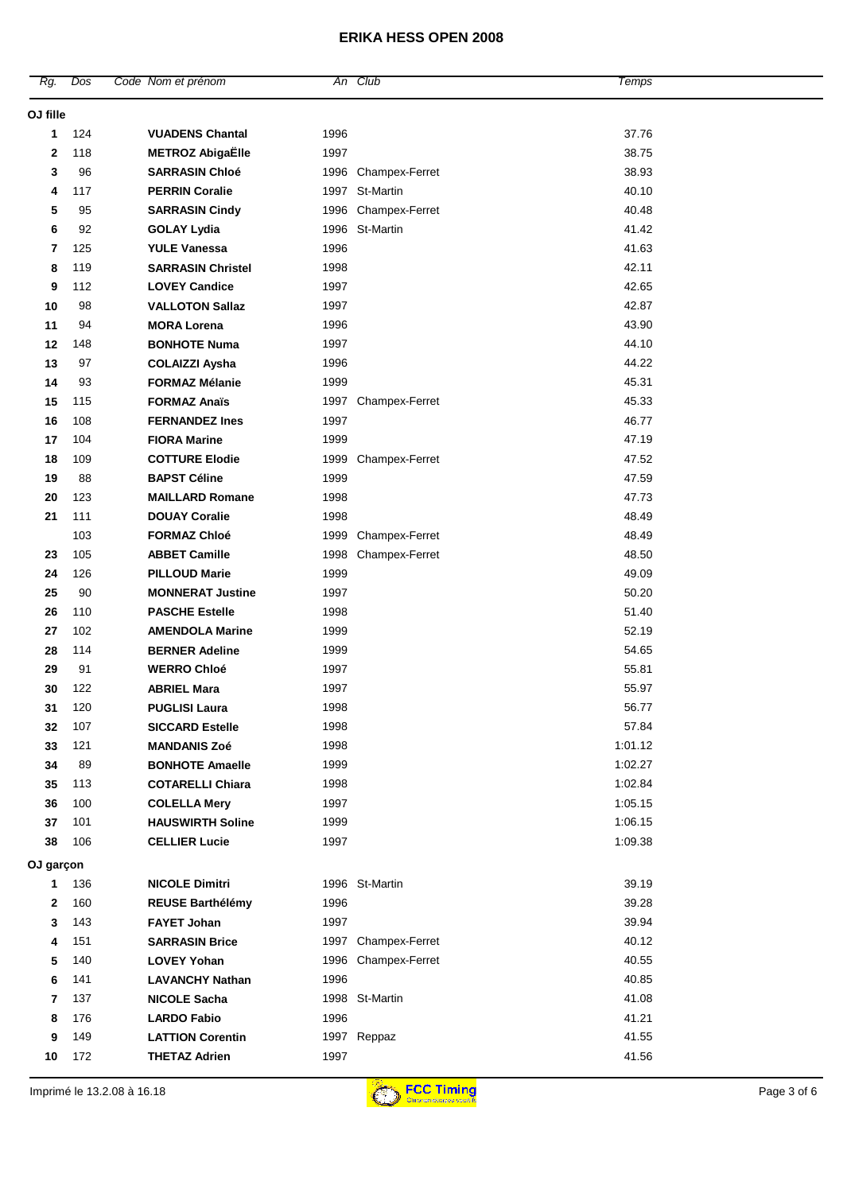| Rg.            | Dos | Code Nom et prénom         |      | An Club               | Temps   |             |
|----------------|-----|----------------------------|------|-----------------------|---------|-------------|
| OJ fille       |     |                            |      |                       |         |             |
| 1              | 124 | <b>VUADENS Chantal</b>     | 1996 |                       | 37.76   |             |
| 2              | 118 | <b>METROZ AbigaËlle</b>    | 1997 |                       | 38.75   |             |
| 3              | 96  | <b>SARRASIN Chloé</b>      | 1996 | Champex-Ferret        | 38.93   |             |
| 4              | 117 | <b>PERRIN Coralie</b>      |      | 1997 St-Martin        | 40.10   |             |
| 5              | 95  | <b>SARRASIN Cindy</b>      | 1996 | Champex-Ferret        | 40.48   |             |
| 6              | 92  | <b>GOLAY Lydia</b>         |      | 1996 St-Martin        | 41.42   |             |
| $\overline{7}$ | 125 | <b>YULE Vanessa</b>        | 1996 |                       | 41.63   |             |
| 8              | 119 | <b>SARRASIN Christel</b>   | 1998 |                       | 42.11   |             |
| 9              | 112 | <b>LOVEY Candice</b>       | 1997 |                       | 42.65   |             |
| 10             | 98  | <b>VALLOTON Sallaz</b>     | 1997 |                       | 42.87   |             |
| 11             | 94  | <b>MORA Lorena</b>         | 1996 |                       | 43.90   |             |
| 12             | 148 | <b>BONHOTE Numa</b>        | 1997 |                       | 44.10   |             |
| 13             | 97  | <b>COLAIZZI Aysha</b>      | 1996 |                       | 44.22   |             |
| 14             | 93  | <b>FORMAZ Mélanie</b>      | 1999 |                       | 45.31   |             |
| 15             | 115 | <b>FORMAZ Anaïs</b>        | 1997 | Champex-Ferret        | 45.33   |             |
| 16             | 108 | <b>FERNANDEZ Ines</b>      | 1997 |                       | 46.77   |             |
| 17             | 104 | <b>FIORA Marine</b>        | 1999 |                       | 47.19   |             |
| 18             | 109 | <b>COTTURE Elodie</b>      | 1999 | <b>Champex-Ferret</b> | 47.52   |             |
| 19             | 88  | <b>BAPST Céline</b>        | 1999 |                       | 47.59   |             |
| 20             | 123 | <b>MAILLARD Romane</b>     | 1998 |                       | 47.73   |             |
| 21             | 111 | <b>DOUAY Coralie</b>       | 1998 |                       | 48.49   |             |
|                | 103 | <b>FORMAZ Chloé</b>        | 1999 | Champex-Ferret        | 48.49   |             |
| 23             | 105 | <b>ABBET Camille</b>       | 1998 | <b>Champex-Ferret</b> | 48.50   |             |
| 24             | 126 | <b>PILLOUD Marie</b>       | 1999 |                       | 49.09   |             |
| 25             | 90  | <b>MONNERAT Justine</b>    | 1997 |                       | 50.20   |             |
| 26             | 110 | <b>PASCHE Estelle</b>      | 1998 |                       | 51.40   |             |
| 27             | 102 | <b>AMENDOLA Marine</b>     | 1999 |                       | 52.19   |             |
| 28             | 114 | <b>BERNER Adeline</b>      | 1999 |                       | 54.65   |             |
| 29             | 91  | <b>WERRO Chloé</b>         | 1997 |                       | 55.81   |             |
| 30             | 122 | <b>ABRIEL Mara</b>         | 1997 |                       | 55.97   |             |
| 31             | 120 | <b>PUGLISI Laura</b>       | 1998 |                       | 56.77   |             |
| 32             | 107 | <b>SICCARD Estelle</b>     | 1998 |                       | 57.84   |             |
| 33             | 121 | <b>MANDANIS Zoé</b>        | 1998 |                       | 1:01.12 |             |
| 34             | 89  | <b>BONHOTE Amaelle</b>     | 1999 |                       | 1:02.27 |             |
| 35             | 113 | <b>COTARELLI Chiara</b>    | 1998 |                       | 1:02.84 |             |
| 36             | 100 | <b>COLELLA Mery</b>        | 1997 |                       | 1:05.15 |             |
| 37             | 101 | <b>HAUSWIRTH Soline</b>    | 1999 |                       | 1:06.15 |             |
| 38             | 106 | <b>CELLIER Lucie</b>       | 1997 |                       | 1:09.38 |             |
| OJ garçon      |     |                            |      |                       |         |             |
| 1              | 136 | <b>NICOLE Dimitri</b>      |      | 1996 St-Martin        | 39.19   |             |
| 2              | 160 | <b>REUSE Barthélémy</b>    | 1996 |                       | 39.28   |             |
| 3              | 143 | <b>FAYET Johan</b>         | 1997 |                       | 39.94   |             |
| 4              | 151 | <b>SARRASIN Brice</b>      |      | 1997 Champex-Ferret   | 40.12   |             |
| 5              | 140 | <b>LOVEY Yohan</b>         | 1996 | Champex-Ferret        | 40.55   |             |
| 6              | 141 | <b>LAVANCHY Nathan</b>     | 1996 |                       | 40.85   |             |
| 7              | 137 | <b>NICOLE Sacha</b>        |      | 1998 St-Martin        | 41.08   |             |
| 8              | 176 | <b>LARDO Fabio</b>         | 1996 |                       | 41.21   |             |
| 9              | 149 | <b>LATTION Corentin</b>    |      | 1997 Reppaz           | 41.55   |             |
| 10             | 172 | <b>THETAZ Adrien</b>       | 1997 |                       | 41.56   |             |
|                |     | Imprimé le 13.2.08 à 16.18 |      | <b>FCC Timing</b>     |         | Page 3 of 6 |
|                |     |                            |      |                       |         |             |

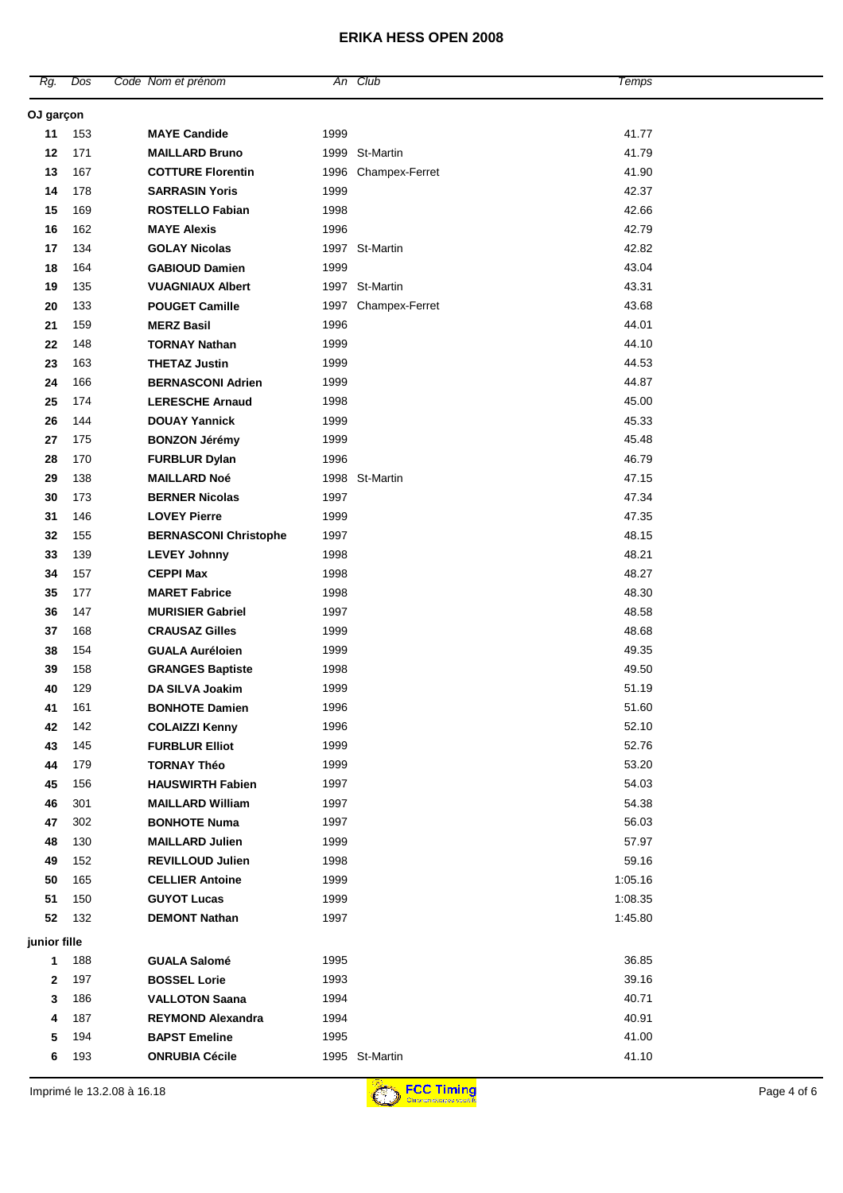| Rg.          | Dos | Code Nom et prénom           |      | An Club             | Temps   |  |
|--------------|-----|------------------------------|------|---------------------|---------|--|
| OJ garçon    |     |                              |      |                     |         |  |
| 11           | 153 | <b>MAYE Candide</b>          | 1999 |                     | 41.77   |  |
| 12           | 171 | <b>MAILLARD Bruno</b>        |      | 1999 St-Martin      | 41.79   |  |
| 13           | 167 | <b>COTTURE Florentin</b>     |      | 1996 Champex-Ferret | 41.90   |  |
| 14           | 178 | <b>SARRASIN Yoris</b>        | 1999 |                     | 42.37   |  |
| 15           | 169 | <b>ROSTELLO Fabian</b>       | 1998 |                     | 42.66   |  |
| 16           | 162 | <b>MAYE Alexis</b>           | 1996 |                     | 42.79   |  |
| 17           | 134 | <b>GOLAY Nicolas</b>         |      | 1997 St-Martin      | 42.82   |  |
| 18           | 164 | <b>GABIOUD Damien</b>        | 1999 |                     | 43.04   |  |
| 19           | 135 | <b>VUAGNIAUX Albert</b>      |      | 1997 St-Martin      | 43.31   |  |
| 20           | 133 | <b>POUGET Camille</b>        |      | 1997 Champex-Ferret | 43.68   |  |
| 21           | 159 | <b>MERZ Basil</b>            | 1996 |                     | 44.01   |  |
| 22           | 148 | <b>TORNAY Nathan</b>         | 1999 |                     | 44.10   |  |
| 23           | 163 | <b>THETAZ Justin</b>         | 1999 |                     | 44.53   |  |
| 24           | 166 | <b>BERNASCONI Adrien</b>     | 1999 |                     | 44.87   |  |
| 25           | 174 | <b>LERESCHE Arnaud</b>       | 1998 |                     | 45.00   |  |
| 26           | 144 | <b>DOUAY Yannick</b>         | 1999 |                     | 45.33   |  |
| 27           | 175 | <b>BONZON Jérémy</b>         | 1999 |                     | 45.48   |  |
| 28           | 170 | <b>FURBLUR Dylan</b>         | 1996 |                     | 46.79   |  |
| 29           | 138 | <b>MAILLARD Noé</b>          |      | 1998 St-Martin      | 47.15   |  |
| 30           | 173 | <b>BERNER Nicolas</b>        | 1997 |                     | 47.34   |  |
| 31           | 146 | <b>LOVEY Pierre</b>          | 1999 |                     | 47.35   |  |
| 32           | 155 | <b>BERNASCONI Christophe</b> | 1997 |                     | 48.15   |  |
| 33           | 139 | <b>LEVEY Johnny</b>          | 1998 |                     | 48.21   |  |
| 34           | 157 | <b>CEPPI Max</b>             | 1998 |                     | 48.27   |  |
| 35           | 177 | <b>MARET Fabrice</b>         | 1998 |                     | 48.30   |  |
| 36           | 147 | <b>MURISIER Gabriel</b>      | 1997 |                     | 48.58   |  |
| 37           | 168 | <b>CRAUSAZ Gilles</b>        | 1999 |                     | 48.68   |  |
| 38           | 154 | <b>GUALA Auréloien</b>       | 1999 |                     | 49.35   |  |
| 39           | 158 | <b>GRANGES Baptiste</b>      | 1998 |                     | 49.50   |  |
| 40           | 129 | DA SILVA Joakim              | 1999 |                     | 51.19   |  |
| 41           | 161 | <b>BONHOTE Damien</b>        | 1996 |                     | 51.60   |  |
| 42           | 142 | <b>COLAIZZI Kenny</b>        | 1996 |                     | 52.10   |  |
| 43           | 145 | <b>FURBLUR Elliot</b>        | 1999 |                     | 52.76   |  |
| 44           | 179 | <b>TORNAY Théo</b>           | 1999 |                     | 53.20   |  |
| 45           | 156 | <b>HAUSWIRTH Fabien</b>      | 1997 |                     | 54.03   |  |
| 46           | 301 | <b>MAILLARD William</b>      | 1997 |                     | 54.38   |  |
| 47           | 302 | <b>BONHOTE Numa</b>          | 1997 |                     | 56.03   |  |
| 48           | 130 | <b>MAILLARD Julien</b>       | 1999 |                     | 57.97   |  |
| 49           | 152 | <b>REVILLOUD Julien</b>      | 1998 |                     | 59.16   |  |
| 50           | 165 | <b>CELLIER Antoine</b>       | 1999 |                     | 1:05.16 |  |
| 51           | 150 | <b>GUYOT Lucas</b>           | 1999 |                     | 1:08.35 |  |
| 52           | 132 | <b>DEMONT Nathan</b>         | 1997 |                     | 1:45.80 |  |
| junior fille |     |                              |      |                     |         |  |
| 1            | 188 | <b>GUALA Salomé</b>          | 1995 |                     | 36.85   |  |
| 2            | 197 | <b>BOSSEL Lorie</b>          | 1993 |                     | 39.16   |  |
| 3            | 186 | <b>VALLOTON Saana</b>        | 1994 |                     | 40.71   |  |
| 4            | 187 | <b>REYMOND Alexandra</b>     | 1994 |                     | 40.91   |  |
| 5            | 194 | <b>BAPST Emeline</b>         | 1995 |                     | 41.00   |  |
| 6            | 193 | <b>ONRUBIA Cécile</b>        |      | 1995 St-Martin      | 41.10   |  |
|              |     |                              |      |                     |         |  |

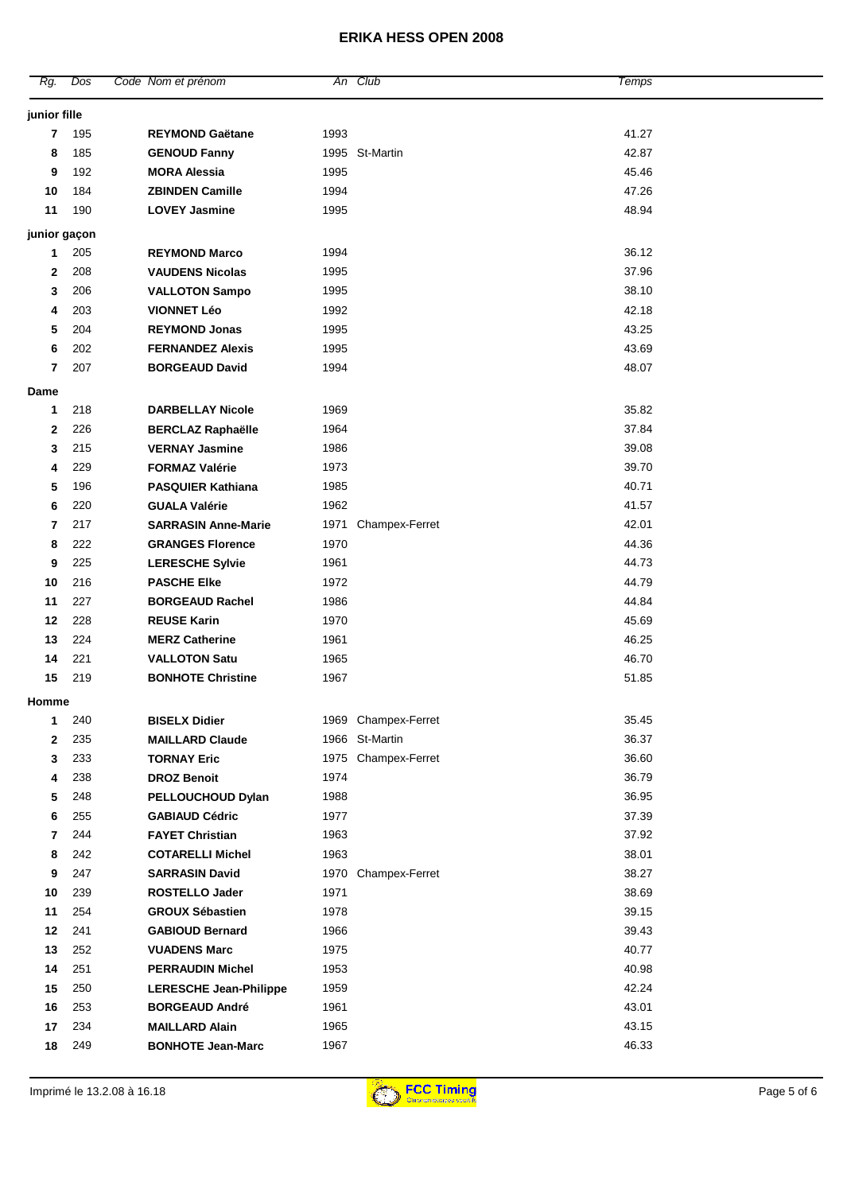| Rg.            | Dos | Code Nom et prénom            |      | An Club             | Temps |
|----------------|-----|-------------------------------|------|---------------------|-------|
| junior fille   |     |                               |      |                     |       |
| 7              | 195 | <b>REYMOND Gaëtane</b>        | 1993 |                     | 41.27 |
| 8              | 185 | <b>GENOUD Fanny</b>           |      | 1995 St-Martin      | 42.87 |
| 9              | 192 | <b>MORA Alessia</b>           | 1995 |                     | 45.46 |
| 10             | 184 | <b>ZBINDEN Camille</b>        | 1994 |                     | 47.26 |
| 11             | 190 | <b>LOVEY Jasmine</b>          | 1995 |                     | 48.94 |
| junior gaçon   |     |                               |      |                     |       |
| 1              | 205 | <b>REYMOND Marco</b>          | 1994 |                     | 36.12 |
| 2              | 208 | <b>VAUDENS Nicolas</b>        | 1995 |                     | 37.96 |
| 3              | 206 | <b>VALLOTON Sampo</b>         | 1995 |                     | 38.10 |
| 4              | 203 | <b>VIONNET Léo</b>            | 1992 |                     | 42.18 |
| 5              | 204 | <b>REYMOND Jonas</b>          | 1995 |                     | 43.25 |
| 6              | 202 | <b>FERNANDEZ Alexis</b>       | 1995 |                     | 43.69 |
| $\overline{7}$ | 207 | <b>BORGEAUD David</b>         | 1994 |                     | 48.07 |
| Dame           |     |                               |      |                     |       |
| 1              | 218 | <b>DARBELLAY Nicole</b>       | 1969 |                     | 35.82 |
| $\mathbf{2}$   | 226 | <b>BERCLAZ Raphaëlle</b>      | 1964 |                     | 37.84 |
| 3              | 215 | <b>VERNAY Jasmine</b>         | 1986 |                     | 39.08 |
| 4              | 229 | <b>FORMAZ Valérie</b>         | 1973 |                     | 39.70 |
| 5              | 196 | <b>PASQUIER Kathiana</b>      | 1985 |                     | 40.71 |
| 6              | 220 | <b>GUALA Valérie</b>          | 1962 |                     | 41.57 |
| 7              | 217 | <b>SARRASIN Anne-Marie</b>    | 1971 | Champex-Ferret      | 42.01 |
| 8              | 222 | <b>GRANGES Florence</b>       | 1970 |                     | 44.36 |
| 9              | 225 | <b>LERESCHE Sylvie</b>        | 1961 |                     | 44.73 |
| 10             | 216 | <b>PASCHE Elke</b>            | 1972 |                     | 44.79 |
| 11             | 227 | <b>BORGEAUD Rachel</b>        | 1986 |                     | 44.84 |
| 12             | 228 | <b>REUSE Karin</b>            | 1970 |                     | 45.69 |
| 13             | 224 | <b>MERZ Catherine</b>         | 1961 |                     | 46.25 |
| 14             | 221 | <b>VALLOTON Satu</b>          | 1965 |                     | 46.70 |
| 15             | 219 | <b>BONHOTE Christine</b>      | 1967 |                     | 51.85 |
| Homme          |     |                               |      |                     |       |
| 1              | 240 | <b>BISELX Didier</b>          |      | 1969 Champex-Ferret | 35.45 |
| 2              | 235 | <b>MAILLARD Claude</b>        |      | 1966 St-Martin      | 36.37 |
| 3              | 233 | <b>TORNAY Eric</b>            | 1975 | Champex-Ferret      | 36.60 |
| 4              | 238 | <b>DROZ Benoit</b>            | 1974 |                     | 36.79 |
| 5              | 248 | PELLOUCHOUD Dylan             | 1988 |                     | 36.95 |
| 6              | 255 | <b>GABIAUD Cédric</b>         | 1977 |                     | 37.39 |
| 7              | 244 | <b>FAYET Christian</b>        | 1963 |                     | 37.92 |
| 8              | 242 | <b>COTARELLI Michel</b>       | 1963 |                     | 38.01 |
| 9              | 247 | <b>SARRASIN David</b>         |      | 1970 Champex-Ferret | 38.27 |
| 10             | 239 | <b>ROSTELLO Jader</b>         | 1971 |                     | 38.69 |
| 11             | 254 | <b>GROUX Sébastien</b>        | 1978 |                     | 39.15 |
| 12             | 241 | <b>GABIOUD Bernard</b>        | 1966 |                     | 39.43 |
| 13             | 252 | <b>VUADENS Marc</b>           | 1975 |                     | 40.77 |
| 14             | 251 | <b>PERRAUDIN Michel</b>       | 1953 |                     | 40.98 |
| 15             | 250 | <b>LERESCHE Jean-Philippe</b> | 1959 |                     | 42.24 |
| 16             | 253 | <b>BORGEAUD André</b>         | 1961 |                     | 43.01 |
| 17             | 234 | <b>MAILLARD Alain</b>         | 1965 |                     | 43.15 |
| 18             | 249 | <b>BONHOTE Jean-Marc</b>      | 1967 |                     | 46.33 |